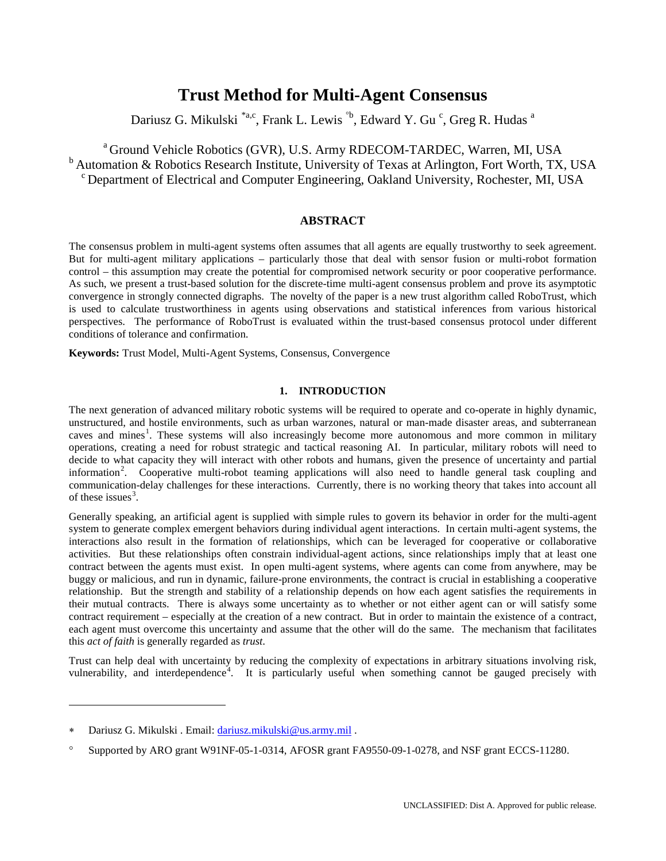# **Trust Method for Multi-Agent Consensus**

Dariusz G. Mikulski \*a,c, Frank L. Lewis <sup>\*b</sup>, Edward Y. Gu <sup>c</sup>, Greg R. Hudas <sup>a</sup>

<sup>a</sup> Ground Vehicle Robotics (GVR), U.S. Army RDECOM-TARDEC, Warren, MI, USA  $\textsuperscript{b}$  Automation & Robotics Research Institute, University of Texas at Arlington, Fort Worth, TX, USA  $\textsuperscript{c}$  Department of Electrical and Computer Engineering, Oakland University, Rochester, MI, USA

# **ABSTRACT**

The consensus problem in multi-agent systems often assumes that all agents are equally trustworthy to seek agreement. But for multi-agent military applications – particularly those that deal with sensor fusion or multi-robot formation control – this assumption may create the potential for compromised network security or poor cooperative performance. As such, we present a trust-based solution for the discrete-time multi-agent consensus problem and prove its asymptotic convergence in strongly connected digraphs. The novelty of the paper is a new trust algorithm called RoboTrust, which is used to calculate trustworthiness in agents using observations and statistical inferences from various historical perspectives. The performance of RoboTrust is evaluated within the trust-based consensus protocol under different conditions of tolerance and confirmation.

**Keywords:** Trust Model, Multi-Agent Systems, Consensus, Convergence

# **1. INTRODUCTION**

The next generation of advanced military robotic systems will be required to operate and co-operate in highly dynamic, unstructured, and hostile environments, such as urban warzones, natural or man-made disaster areas, and subterranean caves and mines<sup>1</sup>. These systems will also increasingly become more autonomous and more common in military operations, creating a need for robust strategic and tactical reasoning AI. In particular, military robots will need to decide to what capacity they will interact with other robots and humans, given the presence of uncertainty and partial information<sup>2</sup>. Cooperative multi-robot teaming applications will also need to handle general task coupling and communication-delay challenges for these interactions. Currently, there is no working theory that takes into account all of these issues<sup>3</sup>.

Generally speaking, an artificial agent is supplied with simple rules to govern its behavior in order for the multi-agent system to generate complex emergent behaviors during individual agent interactions. In certain multi-agent systems, the interactions also result in the formation of relationships, which can be leveraged for cooperative or collaborative activities. But these relationships often constrain individual-agent actions, since relationships imply that at least one contract between the agents must exist. In open multi-agent systems, where agents can come from anywhere, may be buggy or malicious, and run in dynamic, failure-prone environments, the contract is crucial in establishing a cooperative relationship. But the strength and stability of a relationship depends on how each agent satisfies the requirements in their mutual contracts. There is always some uncertainty as to whether or not either agent can or will satisfy some contract requirement – especially at the creation of a new contract. But in order to maintain the existence of a contract, each agent must overcome this uncertainty and assume that the other will do the same. The mechanism that facilitates this *act of faith* is generally regarded as *trust*.

Trust can help deal with uncertainty by reducing the complexity of expectations in arbitrary situations involving risk, vulnerability, and interdependence<sup>4</sup>. It is particularly useful when something cannot be gauged precisely with

-

<sup>∗</sup> Dariusz G. Mikulski . Email: dariusz.mikulski@us.army.mil .

<sup>°</sup> Supported by ARO grant W91NF-05-1-0314, AFOSR grant FA9550-09-1-0278, and NSF grant ECCS-11280.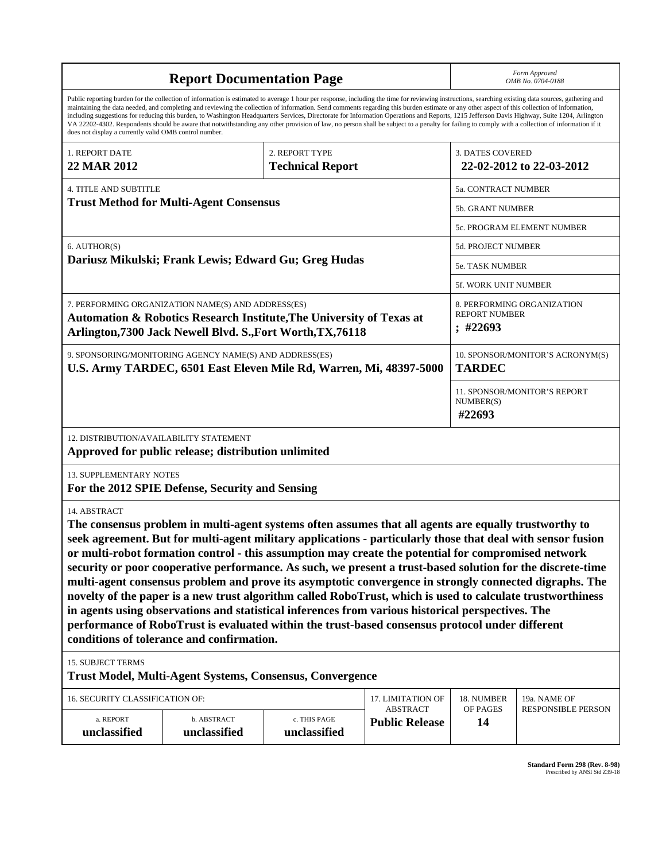| <b>Report Documentation Page</b>                                                                                                                                                                                                                                                                                                                                                                                                                                                                                                                                                                                                                                                                                                                                                                                                                                                                                                       |                                           |                              |                                          | Form Approved<br>OMB No. 0704-0188                             |                           |
|----------------------------------------------------------------------------------------------------------------------------------------------------------------------------------------------------------------------------------------------------------------------------------------------------------------------------------------------------------------------------------------------------------------------------------------------------------------------------------------------------------------------------------------------------------------------------------------------------------------------------------------------------------------------------------------------------------------------------------------------------------------------------------------------------------------------------------------------------------------------------------------------------------------------------------------|-------------------------------------------|------------------------------|------------------------------------------|----------------------------------------------------------------|---------------------------|
| Public reporting burden for the collection of information is estimated to average 1 hour per response, including the time for reviewing instructions, searching existing data sources, gathering and<br>maintaining the data needed, and completing and reviewing the collection of information. Send comments regarding this burden estimate or any other aspect of this collection of information,<br>including suggestions for reducing this burden, to Washington Headquarters Services, Directorate for Information Operations and Reports, 1215 Jefferson Davis Highway, Suite 1204, Arlington<br>VA 22202-4302. Respondents should be aware that notwithstanding any other provision of law, no person shall be subject to a penalty for failing to comply with a collection of information if it<br>does not display a currently valid OMB control number.                                                                     |                                           |                              |                                          |                                                                |                           |
| 1. REPORT DATE<br>22 MAR 2012                                                                                                                                                                                                                                                                                                                                                                                                                                                                                                                                                                                                                                                                                                                                                                                                                                                                                                          | 2. REPORT TYPE<br><b>Technical Report</b> |                              |                                          | <b>3. DATES COVERED</b><br>22-02-2012 to 22-03-2012            |                           |
| <b>4. TITLE AND SUBTITLE</b>                                                                                                                                                                                                                                                                                                                                                                                                                                                                                                                                                                                                                                                                                                                                                                                                                                                                                                           |                                           | 5a. CONTRACT NUMBER          |                                          |                                                                |                           |
| <b>Trust Method for Multi-Agent Consensus</b>                                                                                                                                                                                                                                                                                                                                                                                                                                                                                                                                                                                                                                                                                                                                                                                                                                                                                          |                                           | 5b. GRANT NUMBER             |                                          |                                                                |                           |
|                                                                                                                                                                                                                                                                                                                                                                                                                                                                                                                                                                                                                                                                                                                                                                                                                                                                                                                                        |                                           |                              |                                          | 5c. PROGRAM ELEMENT NUMBER                                     |                           |
| 6. AUTHOR(S)                                                                                                                                                                                                                                                                                                                                                                                                                                                                                                                                                                                                                                                                                                                                                                                                                                                                                                                           |                                           |                              |                                          | 5d. PROJECT NUMBER                                             |                           |
| Dariusz Mikulski; Frank Lewis; Edward Gu; Greg Hudas                                                                                                                                                                                                                                                                                                                                                                                                                                                                                                                                                                                                                                                                                                                                                                                                                                                                                   |                                           |                              |                                          | <b>5e. TASK NUMBER</b>                                         |                           |
|                                                                                                                                                                                                                                                                                                                                                                                                                                                                                                                                                                                                                                                                                                                                                                                                                                                                                                                                        |                                           |                              |                                          | 5f. WORK UNIT NUMBER                                           |                           |
| 7. PERFORMING ORGANIZATION NAME(S) AND ADDRESS(ES)<br>Automation & Robotics Research Institute, The University of Texas at<br>Arlington, 7300 Jack Newell Blvd. S., Fort Worth, TX, 76118                                                                                                                                                                                                                                                                                                                                                                                                                                                                                                                                                                                                                                                                                                                                              |                                           |                              |                                          | 8. PERFORMING ORGANIZATION<br><b>REPORT NUMBER</b><br>; 422693 |                           |
| 9. SPONSORING/MONITORING AGENCY NAME(S) AND ADDRESS(ES)<br>U.S. Army TARDEC, 6501 East Eleven Mile Rd, Warren, Mi, 48397-5000                                                                                                                                                                                                                                                                                                                                                                                                                                                                                                                                                                                                                                                                                                                                                                                                          |                                           |                              |                                          | 10. SPONSOR/MONITOR'S ACRONYM(S)<br><b>TARDEC</b>              |                           |
|                                                                                                                                                                                                                                                                                                                                                                                                                                                                                                                                                                                                                                                                                                                                                                                                                                                                                                                                        |                                           |                              |                                          | 11. SPONSOR/MONITOR'S REPORT<br>NUMBER(S)<br>#22693            |                           |
| 12. DISTRIBUTION/AVAILABILITY STATEMENT<br>Approved for public release; distribution unlimited                                                                                                                                                                                                                                                                                                                                                                                                                                                                                                                                                                                                                                                                                                                                                                                                                                         |                                           |                              |                                          |                                                                |                           |
| <b>13. SUPPLEMENTARY NOTES</b><br>For the 2012 SPIE Defense, Security and Sensing                                                                                                                                                                                                                                                                                                                                                                                                                                                                                                                                                                                                                                                                                                                                                                                                                                                      |                                           |                              |                                          |                                                                |                           |
| 14. ABSTRACT<br>The consensus problem in multi-agent systems often assumes that all agents are equally trustworthy to<br>seek agreement. But for multi-agent military applications - particularly those that deal with sensor fusion<br>or multi-robot formation control - this assumption may create the potential for compromised network<br>security or poor cooperative performance. As such, we present a trust-based solution for the discrete-time<br>multi-agent consensus problem and prove its asymptotic convergence in strongly connected digraphs. The<br>novelty of the paper is a new trust algorithm called RoboTrust, which is used to calculate trustworthiness<br>in agents using observations and statistical inferences from various historical perspectives. The<br>performance of RoboTrust is evaluated within the trust-based consensus protocol under different<br>conditions of tolerance and confirmation. |                                           |                              |                                          |                                                                |                           |
| <b>15. SUBJECT TERMS</b><br>Trust Model, Multi-Agent Systems, Consensus, Convergence                                                                                                                                                                                                                                                                                                                                                                                                                                                                                                                                                                                                                                                                                                                                                                                                                                                   |                                           |                              |                                          |                                                                |                           |
| 16. SECURITY CLASSIFICATION OF:                                                                                                                                                                                                                                                                                                                                                                                                                                                                                                                                                                                                                                                                                                                                                                                                                                                                                                        | 17. LIMITATION OF                         | 18. NUMBER                   | 19a. NAME OF                             |                                                                |                           |
| a. REPORT<br>unclassified                                                                                                                                                                                                                                                                                                                                                                                                                                                                                                                                                                                                                                                                                                                                                                                                                                                                                                              | b. ABSTRACT<br>unclassified               | c. THIS PAGE<br>unclassified | <b>ABSTRACT</b><br><b>Public Release</b> | OF PAGES<br>14                                                 | <b>RESPONSIBLE PERSON</b> |

**Standard Form 298 (Rev. 8-98)**<br>Prescribed by ANSI Std Z39-18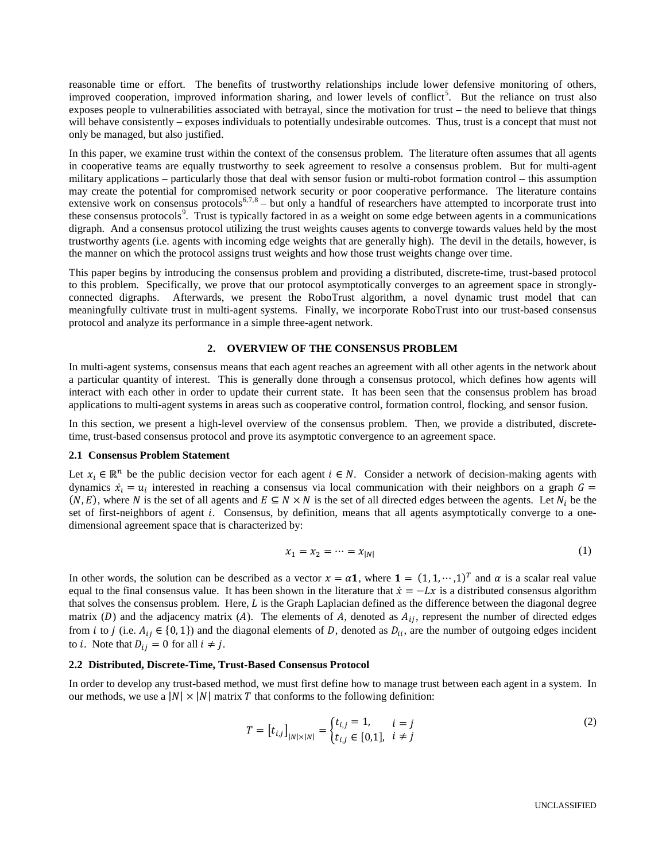reasonable time or effort. The benefits of trustworthy relationships include lower defensive monitoring of others, improved cooperation, improved information sharing, and lower levels of conflict<sup>5</sup>. But the reliance on trust also exposes people to vulnerabilities associated with betrayal, since the motivation for trust – the need to believe that things will behave consistently – exposes individuals to potentially undesirable outcomes. Thus, trust is a concept that must not only be managed, but also justified.

In this paper, we examine trust within the context of the consensus problem. The literature often assumes that all agents in cooperative teams are equally trustworthy to seek agreement to resolve a consensus problem. But for multi-agent military applications – particularly those that deal with sensor fusion or multi-robot formation control – this assumption may create the potential for compromised network security or poor cooperative performance. The literature contains extensive work on consensus protocols<sup>6,7,8</sup> – but only a handful of researchers have attempted to incorporate trust into these consensus protocols<sup>9</sup>. Trust is typically factored in as a weight on some edge between agents in a communications digraph. And a consensus protocol utilizing the trust weights causes agents to converge towards values held by the most trustworthy agents (i.e. agents with incoming edge weights that are generally high). The devil in the details, however, is the manner on which the protocol assigns trust weights and how those trust weights change over time.

This paper begins by introducing the consensus problem and providing a distributed, discrete-time, trust-based protocol to this problem. Specifically, we prove that our protocol asymptotically converges to an agreement space in stronglyconnected digraphs. Afterwards, we present the RoboTrust algorithm, a novel dynamic trust model that can meaningfully cultivate trust in multi-agent systems. Finally, we incorporate RoboTrust into our trust-based consensus protocol and analyze its performance in a simple three-agent network.

# **2. OVERVIEW OF THE CONSENSUS PROBLEM**

In multi-agent systems, consensus means that each agent reaches an agreement with all other agents in the network about a particular quantity of interest. This is generally done through a consensus protocol, which defines how agents will interact with each other in order to update their current state. It has been seen that the consensus problem has broad applications to multi-agent systems in areas such as cooperative control, formation control, flocking, and sensor fusion.

In this section, we present a high-level overview of the consensus problem. Then, we provide a distributed, discretetime, trust-based consensus protocol and prove its asymptotic convergence to an agreement space.

#### **2.1 Consensus Problem Statement**

Let  $x_i \in \mathbb{R}^n$  be the public decision vector for each agent  $i \in N$ . Consider a network of decision-making agents with dynamics  $\dot{x}_i = u_i$  interested in reaching a consensus via local communication with their neighbors on a graph  $G =$  $(N, E)$ , where N is the set of all agents and  $E \subseteq N \times N$  is the set of all directed edges between the agents. Let  $N_i$  be the set of first-neighbors of agent *i*. Consensus, by definition, means that all agents asymptotically converge to a onedimensional agreement space that is characterized by:

$$
x_1 = x_2 = \dots = x_{|N|}
$$
 (1)

In other words, the solution can be described as a vector  $x = \alpha \mathbf{1}$ , where  $\mathbf{1} = (1, 1, \dots, 1)^T$  and  $\alpha$  is a scalar real value equal to the final consensus value. It has been shown in the literature that  $\dot{x} = -Lx$  is a distributed consensus algorithm that solves the consensus problem. Here,  $L$  is the Graph Laplacian defined as the difference between the diagonal degree matrix (D) and the adjacency matrix (A). The elements of A, denoted as  $A_{ij}$ , represent the number of directed edges from *i* to *j* (i.e.  $A_{ij} \in \{0, 1\}$ ) and the diagonal elements of *D*, denoted as  $D_{ii}$ , are the number of outgoing edges incident to *i*. Note that  $D_{ij} = 0$  for all  $i \neq j$ .

#### **2.2 Distributed, Discrete-Time, Trust-Based Consensus Protocol**

In order to develop any trust-based method, we must first define how to manage trust between each agent in a system. In our methods, we use a  $|N| \times |N|$  matrix T that conforms to the following definition:

$$
T = [t_{i,j}]_{|N| \times |N|} = \begin{cases} t_{i,j} = 1, & i = j \\ t_{i,j} \in [0,1], & i \neq j \end{cases}
$$
 (2)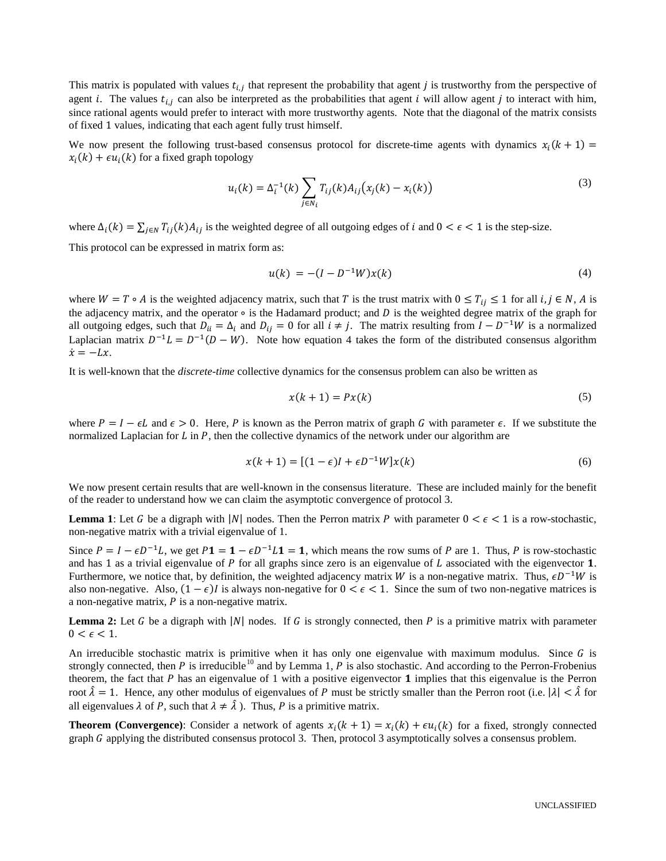This matrix is populated with values  $t_{i,j}$  that represent the probability that agent *j* is trustworthy from the perspective of agent *i*. The values  $t_{i,j}$  can also be interpreted as the probabilities that agent *i* will allow agent *j* to interact with him, since rational agents would prefer to interact with more trustworthy agents. Note that the diagonal of the matrix consists of fixed 1 values, indicating that each agent fully trust himself.

We now present the following trust-based consensus protocol for discrete-time agents with dynamics  $x_i(k + 1) =$  $x_i(k) + \epsilon u_i(k)$  for a fixed graph topology

$$
u_i(k) = \Delta_i^{-1}(k) \sum_{j \in N_i} T_{ij}(k) A_{ij}(x_j(k) - x_i(k))
$$
\n(3)

where  $\Delta_i(k) = \sum_{j \in N} T_{ij}(k) A_{ij}$  is the weighted degree of all outgoing edges of *i* and  $0 < \epsilon < 1$  is the step-size.

This protocol can be expressed in matrix form as:

$$
u(k) = -(I - D^{-1}W)x(k)
$$
 (4)

where  $W = T \circ A$  is the weighted adjacency matrix, such that T is the trust matrix with  $0 \le T_{ij} \le 1$  for all  $i, j \in N$ , A is the adjacency matrix, and the operator  $\circ$  is the Hadamard product; and D is the weighted degree matrix of the graph for all outgoing edges, such that  $D_{ii} = \Delta_i$  and  $D_{ij} = 0$  for all  $i \neq j$ . The matrix resulting from  $I - D^{-1}W$  is a normalized Laplacian matrix  $D^{-1}L = D^{-1}(D - W)$ . Note how equation 4 takes the form of the distributed consensus algorithm  $\dot{x} = -Lx.$ 

It is well-known that the *discrete-time* collective dynamics for the consensus problem can also be written as

$$
x(k+1) = Px(k) \tag{5}
$$

where  $P = I - \epsilon L$  and  $\epsilon > 0$ . Here, P is known as the Perron matrix of graph G with parameter  $\epsilon$ . If we substitute the normalized Laplacian for  $L$  in  $P$ , then the collective dynamics of the network under our algorithm are

$$
x(k+1) = [(1 - \epsilon)I + \epsilon D^{-1}W]x(k)
$$
\n<sup>(6)</sup>

We now present certain results that are well-known in the consensus literature. These are included mainly for the benefit of the reader to understand how we can claim the asymptotic convergence of protocol 3.

**Lemma 1**: Let G be a digraph with  $|N|$  nodes. Then the Perron matrix P with parameter  $0 < \epsilon < 1$  is a row-stochastic, non-negative matrix with a trivial eigenvalue of 1.

Since  $P = I - \epsilon D^{-1}L$ , we get  $P1 = 1 - \epsilon D^{-1}L1 = 1$ , which means the row sums of P are 1. Thus, P is row-stochastic and has 1 as a trivial eigenvalue of  $P$  for all graphs since zero is an eigenvalue of  $L$  associated with the eigenvector 1. Furthermore, we notice that, by definition, the weighted adjacency matrix W is a non-negative matrix. Thus,  $\epsilon D^{-1}W$  is also non-negative. Also,  $(1 - \epsilon)I$  is always non-negative for  $0 < \epsilon < 1$ . Since the sum of two non-negative matrices is a non-negative matrix,  $P$  is a non-negative matrix.

**Lemma 2:** Let G be a digraph with  $|N|$  nodes. If G is strongly connected, then P is a primitive matrix with parameter  $0 < \epsilon < 1$ .

An irreducible stochastic matrix is primitive when it has only one eigenvalue with maximum modulus. Since  $G$  is strongly connected, then  $P$  is irreducible<sup>10</sup> and by Lemma 1,  $P$  is also stochastic. And according to the Perron-Frobenius theorem, the fact that  $P$  has an eigenvalue of 1 with a positive eigenvector 1 implies that this eigenvalue is the Perron root  $\hat{\lambda} = 1$ . Hence, any other modulus of eigenvalues of P must be strictly smaller than the Perron root (i.e.  $|\lambda| < \hat{\lambda}$  for all eigenvalues  $\lambda$  of P, such that  $\lambda \neq \hat{\lambda}$ ). Thus, P is a primitive matrix.

**Theorem** (Convergence): Consider a network of agents  $x_i(k + 1) = x_i(k) + \epsilon u_i(k)$  for a fixed, strongly connected graph  $G$  applying the distributed consensus protocol 3. Then, protocol 3 asymptotically solves a consensus problem.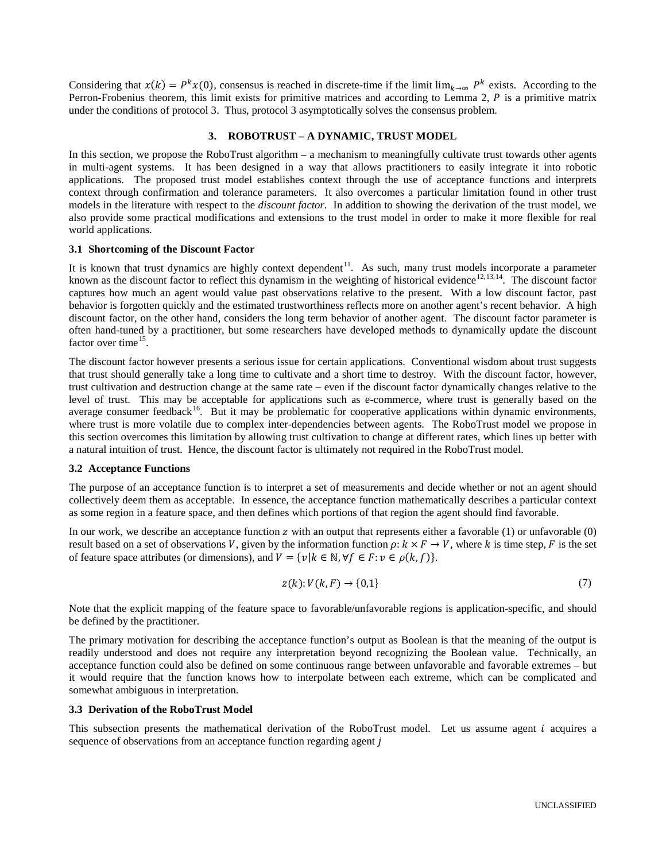Considering that  $x(k) = P^k x(0)$ , consensus is reached in discrete-time if the limit lim<sub> $k\to\infty$ </sub>  $P^k$  exists. According to the Perron-Frobenius theorem, this limit exists for primitive matrices and according to Lemma 2,  $P$  is a primitive matrix under the conditions of protocol 3. Thus, protocol 3 asymptotically solves the consensus problem.

## **3. ROBOTRUST – A DYNAMIC, TRUST MODEL**

In this section, we propose the RoboTrust algorithm – a mechanism to meaningfully cultivate trust towards other agents in multi-agent systems. It has been designed in a way that allows practitioners to easily integrate it into robotic applications. The proposed trust model establishes context through the use of acceptance functions and interprets context through confirmation and tolerance parameters. It also overcomes a particular limitation found in other trust models in the literature with respect to the *discount factor*. In addition to showing the derivation of the trust model, we also provide some practical modifications and extensions to the trust model in order to make it more flexible for real world applications.

#### **3.1 Shortcoming of the Discount Factor**

It is known that trust dynamics are highly context dependent<sup>11</sup>. As such, many trust models incorporate a parameter known as the discount factor to reflect this dynamism in the weighting of historical evidence<sup>12,13,14</sup>. The discount factor captures how much an agent would value past observations relative to the present. With a low discount factor, past behavior is forgotten quickly and the estimated trustworthiness reflects more on another agent's recent behavior. A high discount factor, on the other hand, considers the long term behavior of another agent. The discount factor parameter is often hand-tuned by a practitioner, but some researchers have developed methods to dynamically update the discount factor over time<sup>15</sup>.

The discount factor however presents a serious issue for certain applications. Conventional wisdom about trust suggests that trust should generally take a long time to cultivate and a short time to destroy. With the discount factor, however, trust cultivation and destruction change at the same rate – even if the discount factor dynamically changes relative to the level of trust. This may be acceptable for applications such as e-commerce, where trust is generally based on the average consumer feedback<sup>16</sup>. But it may be problematic for cooperative applications within dynamic environments, where trust is more volatile due to complex inter-dependencies between agents. The RoboTrust model we propose in this section overcomes this limitation by allowing trust cultivation to change at different rates, which lines up better with a natural intuition of trust. Hence, the discount factor is ultimately not required in the RoboTrust model.

#### **3.2 Acceptance Functions**

The purpose of an acceptance function is to interpret a set of measurements and decide whether or not an agent should collectively deem them as acceptable. In essence, the acceptance function mathematically describes a particular context as some region in a feature space, and then defines which portions of that region the agent should find favorable.

In our work, we describe an acceptance function  $z$  with an output that represents either a favorable  $(1)$  or unfavorable  $(0)$ result based on a set of observations V, given by the information function  $\rho: k \times F \to V$ , where k is time step, F is the set of feature space attributes (or dimensions), and  $V = \{v | k \in \mathbb{N}, \forall f \in F : v \in \rho(k, f)\}.$ 

$$
z(k): V(k, F) \to \{0, 1\} \tag{7}
$$

Note that the explicit mapping of the feature space to favorable/unfavorable regions is application-specific, and should be defined by the practitioner.

The primary motivation for describing the acceptance function's output as Boolean is that the meaning of the output is readily understood and does not require any interpretation beyond recognizing the Boolean value. Technically, an acceptance function could also be defined on some continuous range between unfavorable and favorable extremes – but it would require that the function knows how to interpolate between each extreme, which can be complicated and somewhat ambiguous in interpretation.

#### **3.3 Derivation of the RoboTrust Model**

This subsection presents the mathematical derivation of the RoboTrust model. Let us assume agent  $i$  acquires a sequence of observations from an acceptance function regarding agent j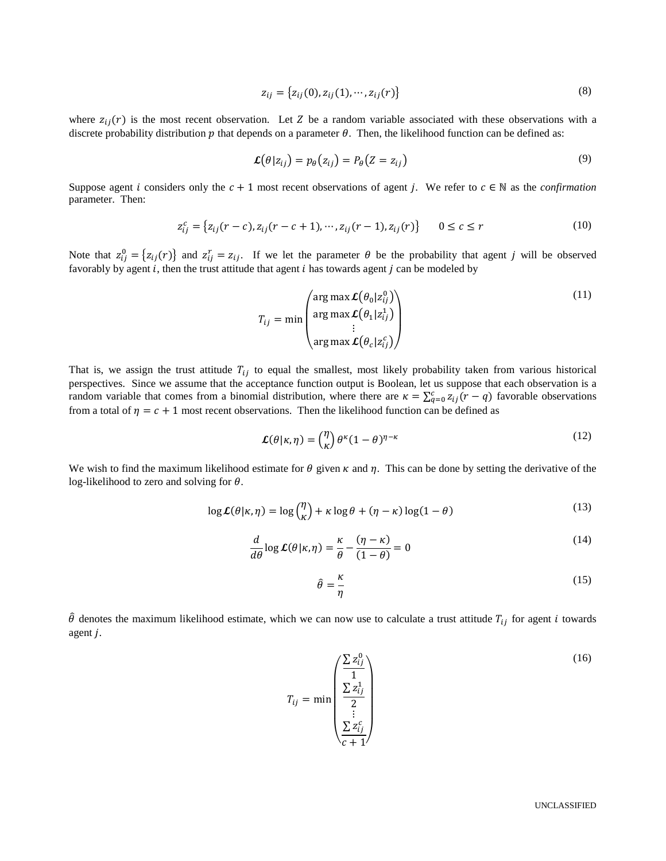$$
z_{ij} = \{z_{ij}(0), z_{ij}(1), \cdots, z_{ij}(r)\}\tag{8}
$$

where  $z_{i}(r)$  is the most recent observation. Let Z be a random variable associated with these observations with a discrete probability distribution  $p$  that depends on a parameter  $\theta$ . Then, the likelihood function can be defined as:

$$
\mathcal{L}(\theta|z_{ij}) = p_{\theta}(z_{ij}) = P_{\theta}(Z = z_{ij})
$$
\n(9)

Suppose agent *i* considers only the  $c + 1$  most recent observations of agent *j*. We refer to  $c \in \mathbb{N}$  as the *confirmation* parameter. Then:

$$
z_{ij}^c = \{z_{ij}(r-c), z_{ij}(r-c+1), \cdots, z_{ij}(r-1), z_{ij}(r)\} \qquad 0 \le c \le r \tag{10}
$$

Note that  $z_{ij}^0 = \{z_{ij}(r)\}\$  and  $z_{ij}^r = z_{ij}$ . If we let the parameter  $\theta$  be the probability that agent j will be observed favorably by agent  $i$ , then the trust attitude that agent  $i$  has towards agent  $j$  can be modeled by

$$
T_{ij} = \min \begin{pmatrix} \arg \max \mathcal{L}(\theta_0 | z_{ij}^0) \\ \arg \max \mathcal{L}(\theta_1 | z_{ij}^1) \\ \vdots \\ \arg \max \mathcal{L}(\theta_c | z_{ij}^c) \end{pmatrix}
$$
 (11)

That is, we assign the trust attitude  $T_{ij}$  to equal the smallest, most likely probability taken from various historical perspectives. Since we assume that the acceptance function output is Boolean, let us suppose that each observation is a random variable that comes from a binomial distribution, where there are  $\kappa = \sum_{q=0}^{c} z_{ij} (r - q)$  favorable observations from a total of  $\eta = c + 1$  most recent observations. Then the likelihood function can be defined as

$$
\mathcal{L}(\theta|\kappa,\eta) = \binom{\eta}{\kappa} \theta^{\kappa} (1-\theta)^{\eta-\kappa} \tag{12}
$$

We wish to find the maximum likelihood estimate for  $\theta$  given  $\kappa$  and  $\eta$ . This can be done by setting the derivative of the log-likelihood to zero and solving for  $\theta$ .

$$
\log \mathcal{L}(\theta|\kappa, \eta) = \log \binom{\eta}{\kappa} + \kappa \log \theta + (\eta - \kappa) \log(1 - \theta) \tag{13}
$$

$$
\frac{d}{d\theta}\log\mathcal{L}(\theta|\kappa,\eta) = \frac{\kappa}{\theta} - \frac{(\eta - \kappa)}{(1 - \theta)} = 0\tag{14}
$$

$$
\hat{\theta} = \frac{\kappa}{\eta} \tag{15}
$$

 $\hat{\theta}$  denotes the maximum likelihood estimate, which we can now use to calculate a trust attitude  $T_{ij}$  for agent *i* towards agent *j*.

$$
T_{ij} = \min \left( \frac{\frac{\sum z_{ij}^0}{1}}{\sum z_{ij}^1} \right) \left( \frac{\sum z_{ij}^1}{\sum z_{ij}^2} \right)
$$
 (16)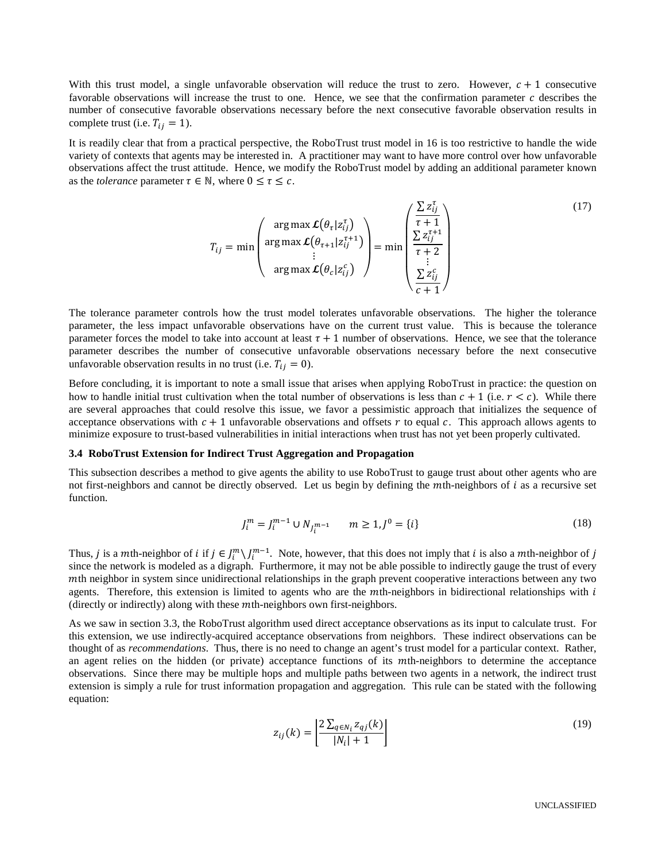With this trust model, a single unfavorable observation will reduce the trust to zero. However,  $c + 1$  consecutive favorable observations will increase the trust to one. Hence, we see that the confirmation parameter  $c$  describes the number of consecutive favorable observations necessary before the next consecutive favorable observation results in complete trust (i.e.  $T_{ii} = 1$ ).

It is readily clear that from a practical perspective, the RoboTrust trust model in 16 is too restrictive to handle the wide variety of contexts that agents may be interested in. A practitioner may want to have more control over how unfavorable observations affect the trust attitude. Hence, we modify the RoboTrust model by adding an additional parameter known as the *tolerance* parameter  $\tau \in \mathbb{N}$ , where  $0 \le \tau \le c$ .

$$
T_{ij} = \min \left( \begin{array}{c} \arg \max \mathcal{L}(\theta_{\tau} | z_{ij}^{\tau}) \\ \arg \max \mathcal{L}(\theta_{\tau+1} | z_{ij}^{\tau+1}) \\ \vdots \\ \arg \max \mathcal{L}(\theta_{c} | z_{ij}^{\tau}) \end{array} \right) = \min \left( \frac{\frac{\sum z_{ij}^{\tau}}{\tau+1}}{\frac{\sum z_{ij}^{\tau+1}}{\tau+2}} \right) \tag{17}
$$

The tolerance parameter controls how the trust model tolerates unfavorable observations. The higher the tolerance parameter, the less impact unfavorable observations have on the current trust value. This is because the tolerance parameter forces the model to take into account at least  $\tau + 1$  number of observations. Hence, we see that the tolerance parameter describes the number of consecutive unfavorable observations necessary before the next consecutive unfavorable observation results in no trust (i.e.  $T_{ij} = 0$ ).

Before concluding, it is important to note a small issue that arises when applying RoboTrust in practice: the question on how to handle initial trust cultivation when the total number of observations is less than  $c + 1$  (i.e.  $r < c$ ). While there are several approaches that could resolve this issue, we favor a pessimistic approach that initializes the sequence of acceptance observations with  $c + 1$  unfavorable observations and offsets r to equal c. This approach allows agents to minimize exposure to trust-based vulnerabilities in initial interactions when trust has not yet been properly cultivated.

#### **3.4 RoboTrust Extension for Indirect Trust Aggregation and Propagation**

This subsection describes a method to give agents the ability to use RoboTrust to gauge trust about other agents who are not first-neighbors and cannot be directly observed. Let us begin by defining the  $m$ th-neighbors of  $i$  as a recursive set function.

$$
J_i^m = J_i^{m-1} \cup N_{j_i^{m-1}} \qquad m \ge 1, J^0 = \{i\}
$$
\n(18)

Thus, *j* is a *m*th-neighbor of *i* if  $j \in J_i^m \setminus J_i^{m-1}$ . Note, however, that this does not imply that *i* is also a *m*th-neighbor of *j* since the network is modeled as a digraph. Furthermore, it may not be able possible to indirectly gauge the trust of every mth neighbor in system since unidirectional relationships in the graph prevent cooperative interactions between any two agents. Therefore, this extension is limited to agents who are the  $m$ th-neighbors in bidirectional relationships with  $i$ (directly or indirectly) along with these mth-neighbors own first-neighbors.

As we saw in section 3.3, the RoboTrust algorithm used direct acceptance observations as its input to calculate trust. For this extension, we use indirectly-acquired acceptance observations from neighbors. These indirect observations can be thought of as *recommendations*. Thus, there is no need to change an agent's trust model for a particular context. Rather, an agent relies on the hidden (or private) acceptance functions of its mth-neighbors to determine the acceptance observations. Since there may be multiple hops and multiple paths between two agents in a network, the indirect trust extension is simply a rule for trust information propagation and aggregation. This rule can be stated with the following equation:

$$
z_{ij}(k) = \left[ \frac{2\sum_{q \in N_i} z_{qj}(k)}{|N_i| + 1} \right] \tag{19}
$$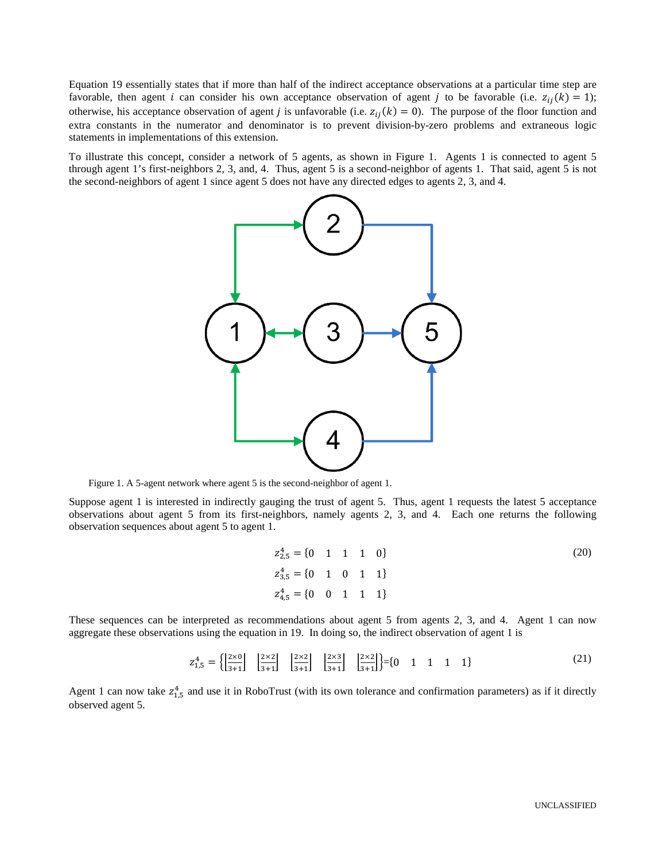Equation 19 essentially states that if more than half of the indirect acceptance observations at a particular time step are favorable, then agent *i* can consider his own acceptance observation of agent *j* to be favorable (i.e.  $z_{ij}(k) = 1$ ); otherwise, his acceptance observation of agent *j* is unfavorable (i.e.  $z_{ij}(k) = 0$ ). The purpose of the floor function and extra constants in the numerator and denominator is to prevent division-by-zero problems and extraneous logic statements in implementations of this extension.

To illustrate this concept, consider a network of 5 agents, as shown in Figure 1. Agents 1 is connected to agent 5 through agent 1's first-neighbors 2, 3, and, 4. Thus, agent 5 is a second-neighbor of agents 1. That said, agent 5 is not the second-neighbors of agent 1 since agent 5 does not have any directed edges to agents 2, 3, and 4.



Figure 1. A 5-agent network where agent 5 is the second-neighbor of agent 1.

Suppose agent 1 is interested in indirectly gauging the trust of agent 5. Thus, agent 1 requests the latest 5 acceptance observations about agent 5 from its first-neighbors, namely agents 2, 3, and 4. Each one returns the following observation sequences about agent 5 to agent 1.

$$
z_{2,5}^4 = \{0 \quad 1 \quad 1 \quad 1 \quad 0\}
$$
  
\n
$$
z_{3,5}^4 = \{0 \quad 1 \quad 0 \quad 1 \quad 1\}
$$
  
\n
$$
z_{4,5}^4 = \{0 \quad 0 \quad 1 \quad 1 \quad 1\}
$$
  
\n(20)

These sequences can be interpreted as recommendations about agent 5 from agents 2, 3, and 4. Agent 1 can now aggregate these observations using the equation in 19. In doing so, the indirect observation of agent 1 is

$$
z_{1,5}^4 = \left\{ \begin{array}{c|c} 2 \times 0 & 2 \times 2 \\ 3 \times 1 & 3 \times 1 \end{array} \right\} \quad \begin{bmatrix} 2 \times 2 \\ 3 \times 1 \end{bmatrix} \quad \begin{bmatrix} 2 \times 3 \\ 3 \times 1 \end{bmatrix} \quad \begin{bmatrix} 2 \times 2 \\ 3 \times 1 \end{bmatrix} = \left\{ 0 \quad 1 \quad 1 \quad 1 \quad 1 \right\} \tag{21}
$$

Agent 1 can now take  $z_{1,5}^4$  and use it in RoboTrust (with its own tolerance and confirmation parameters) as if it directly observed agent 5.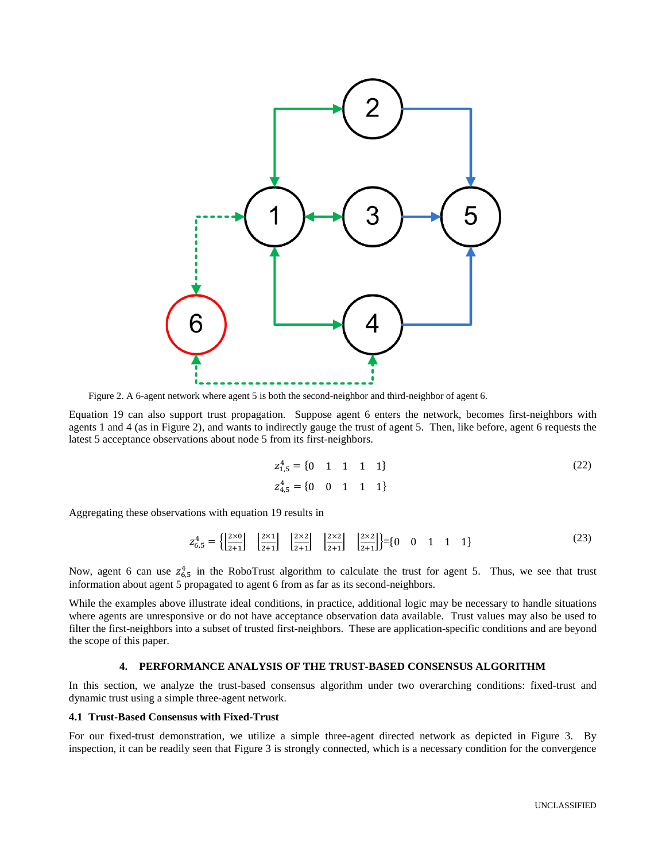

Figure 2. A 6-agent network where agent 5 is both the second-neighbor and third-neighbor of agent 6.

Equation 19 can also support trust propagation. Suppose agent 6 enters the network, becomes first-neighbors with agents 1 and 4 (as in Figure 2), and wants to indirectly gauge the trust of agent 5. Then, like before, agent 6 requests the latest 5 acceptance observations about node 5 from its first-neighbors.

$$
z_{1,5}^4 = \{0 \quad 1 \quad 1 \quad 1 \quad 1\}
$$
  
\n
$$
z_{4,5}^4 = \{0 \quad 0 \quad 1 \quad 1 \quad 1\}
$$
\n(22)

Aggregating these observations with equation 19 results in

$$
z_{6,5}^4 = \left\{ \begin{array}{c|c} 2 \times 0 & 2 \times 1 \\ 2 \times 1 & 2 \times 1 \end{array} \right\} \quad \begin{bmatrix} 2 \times 2 \\ 2 \times 1 \end{bmatrix} \quad \begin{bmatrix} 2 \times 2 \\ 2 \times 1 \end{bmatrix} \quad \begin{bmatrix} 2 \times 2 \\ 2 \times 1 \end{bmatrix} = \left\{ 0 \quad 0 \quad 1 \quad 1 \quad 1 \right\} \tag{23}
$$

Now, agent 6 can use  $z_{6,5}^4$  in the RoboTrust algorithm to calculate the trust for agent 5. Thus, we see that trust information about agent 5 propagated to agent 6 from as far as its second-neighbors.

While the examples above illustrate ideal conditions, in practice, additional logic may be necessary to handle situations where agents are unresponsive or do not have acceptance observation data available. Trust values may also be used to filter the first-neighbors into a subset of trusted first-neighbors. These are application-specific conditions and are beyond the scope of this paper.

## **4. PERFORMANCE ANALYSIS OF THE TRUST-BASED CONSENSUS ALGORITHM**

In this section, we analyze the trust-based consensus algorithm under two overarching conditions: fixed-trust and dynamic trust using a simple three-agent network.

# **4.1 Trust-Based Consensus with Fixed-Trust**

For our fixed-trust demonstration, we utilize a simple three-agent directed network as depicted in Figure 3. By inspection, it can be readily seen that Figure 3 is strongly connected, which is a necessary condition for the convergence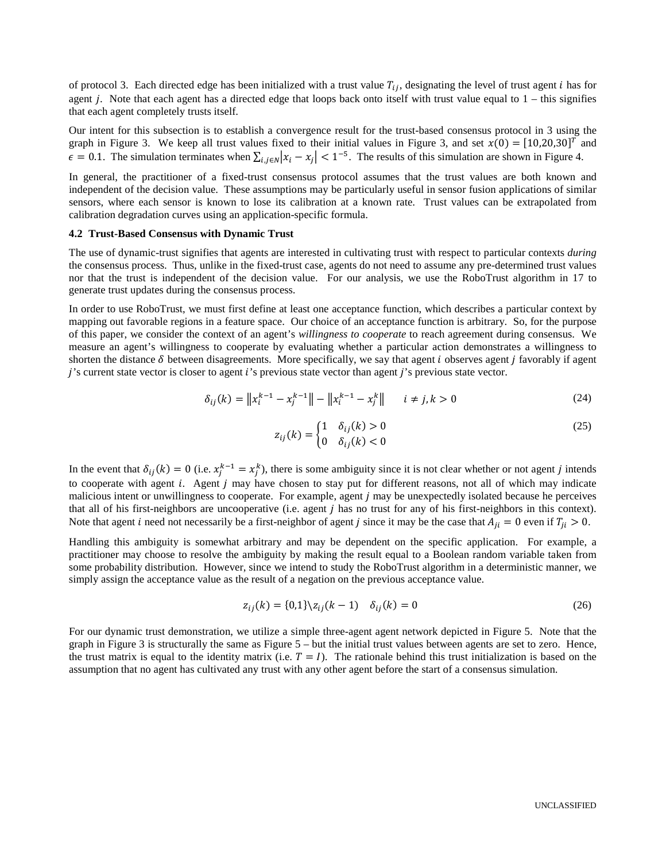of protocol 3. Each directed edge has been initialized with a trust value  $T_{ij}$ , designating the level of trust agent *i* has for agent *j*. Note that each agent has a directed edge that loops back onto itself with trust value equal to  $1 -$  this signifies that each agent completely trusts itself.

Our intent for this subsection is to establish a convergence result for the trust-based consensus protocol in 3 using the graph in Figure 3. We keep all trust values fixed to their initial values in Figure 3, and set  $x(0) = [10,20,30]^T$  and  $\epsilon = 0.1$ . The simulation terminates when  $\sum_{i,j \in N} |x_i - x_j| < 1^{-5}$ . The results of this simulation are shown in Figure 4.

In general, the practitioner of a fixed-trust consensus protocol assumes that the trust values are both known and independent of the decision value. These assumptions may be particularly useful in sensor fusion applications of similar sensors, where each sensor is known to lose its calibration at a known rate. Trust values can be extrapolated from calibration degradation curves using an application-specific formula.

#### **4.2 Trust-Based Consensus with Dynamic Trust**

The use of dynamic-trust signifies that agents are interested in cultivating trust with respect to particular contexts *during* the consensus process. Thus, unlike in the fixed-trust case, agents do not need to assume any pre-determined trust values nor that the trust is independent of the decision value. For our analysis, we use the RoboTrust algorithm in 17 to generate trust updates during the consensus process.

In order to use RoboTrust, we must first define at least one acceptance function, which describes a particular context by mapping out favorable regions in a feature space. Our choice of an acceptance function is arbitrary. So, for the purpose of this paper, we consider the context of an agent's *willingness to cooperate* to reach agreement during consensus. We measure an agent's willingness to cooperate by evaluating whether a particular action demonstrates a willingness to shorten the distance  $\delta$  between disagreements. More specifically, we say that agent *i* observes agent *j* favorably if agent 's current state vector is closer to agent 's previous state vector than agent 's previous state vector.

$$
\delta_{ij}(k) = \|x_i^{k-1} - x_j^{k-1}\| - \|x_i^{k-1} - x_j^k\| \quad i \neq j, k > 0 \tag{24}
$$

$$
z_{ij}(k) = \begin{cases} 1 & \delta_{ij}(k) > 0 \\ 0 & \delta_{ij}(k) < 0 \end{cases} \tag{25}
$$

In the event that  $\delta_{ij}(k) = 0$  (i.e.  $x_j^{k-1} = x_j^k$ ), there is some ambiguity since it is not clear whether or not agent *j* intends to cooperate with agent  $i$ . Agent  $j$  may have chosen to stay put for different reasons, not all of which may indicate malicious intent or unwillingness to cooperate. For example, agent  $j$  may be unexpectedly isolated because he perceives that all of his first-neighbors are uncooperative (i.e. agent *j* has no trust for any of his first-neighbors in this context). Note that agent *i* need not necessarily be a first-neighbor of agent *j* since it may be the case that  $A_{ii} = 0$  even if  $T_{ii} > 0$ .

Handling this ambiguity is somewhat arbitrary and may be dependent on the specific application. For example, a practitioner may choose to resolve the ambiguity by making the result equal to a Boolean random variable taken from some probability distribution. However, since we intend to study the RoboTrust algorithm in a deterministic manner, we simply assign the acceptance value as the result of a negation on the previous acceptance value.

$$
z_{ij}(k) = \{0,1\} \setminus z_{ij}(k-1) \quad \delta_{ij}(k) = 0 \tag{26}
$$

For our dynamic trust demonstration, we utilize a simple three-agent agent network depicted in Figure 5. Note that the graph in Figure 3 is structurally the same as Figure 5 – but the initial trust values between agents are set to zero. Hence, the trust matrix is equal to the identity matrix (i.e.  $T = I$ ). The rationale behind this trust initialization is based on the assumption that no agent has cultivated any trust with any other agent before the start of a consensus simulation.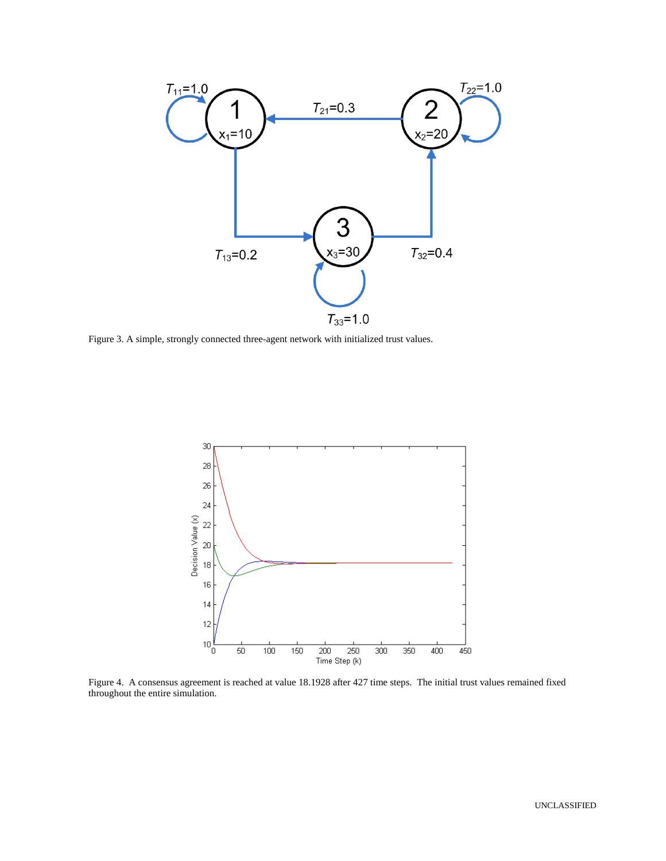

Figure 3. A simple, strongly connected three-agent network with initialized trust values.



Figure 4. A consensus agreement is reached at value 18.1928 after 427 time steps. The initial trust values remained fixed throughout the entire simulation.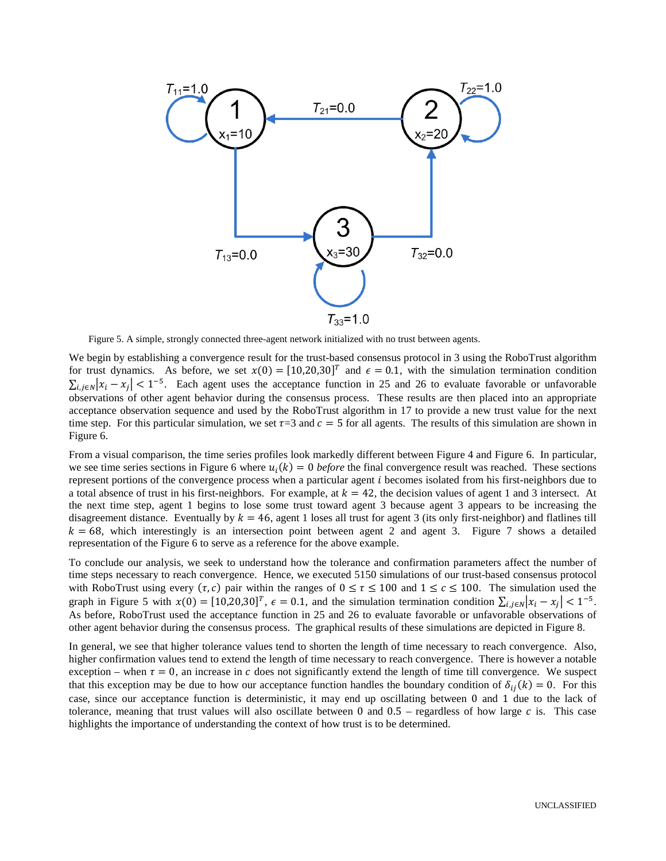

Figure 5. A simple, strongly connected three-agent network initialized with no trust between agents.

We begin by establishing a convergence result for the trust-based consensus protocol in 3 using the RoboTrust algorithm for trust dynamics. As before, we set  $x(0) = [10,20,30]^T$  and  $\epsilon = 0.1$ , with the simulation termination condition  $\sum_{i,j\in\mathbb{N}} |x_i - x_j| < 1^{-5}$ . Each agent uses the acceptance function in 25 and 26 to evaluate favorable or unfavorable observations of other agent behavior during the consensus process. These results are then placed into an appropriate acceptance observation sequence and used by the RoboTrust algorithm in 17 to provide a new trust value for the next time step. For this particular simulation, we set  $\tau = 3$  and  $c = 5$  for all agents. The results of this simulation are shown in Figure 6.

From a visual comparison, the time series profiles look markedly different between Figure 4 and Figure 6. In particular, we see time series sections in Figure 6 where  $u_i(k) = 0$  *before* the final convergence result was reached. These sections represent portions of the convergence process when a particular agent *i* becomes isolated from his first-neighbors due to a total absence of trust in his first-neighbors. For example, at  $k = 42$ , the decision values of agent 1 and 3 intersect. At the next time step, agent 1 begins to lose some trust toward agent 3 because agent 3 appears to be increasing the disagreement distance. Eventually by  $k = 46$ , agent 1 loses all trust for agent 3 (its only first-neighbor) and flatlines till  $k = 68$ , which interestingly is an intersection point between agent 2 and agent 3. Figure 7 shows a detailed representation of the Figure 6 to serve as a reference for the above example.

To conclude our analysis, we seek to understand how the tolerance and confirmation parameters affect the number of time steps necessary to reach convergence. Hence, we executed 5150 simulations of our trust-based consensus protocol with RoboTrust using every  $(\tau, c)$  pair within the ranges of  $0 \le \tau \le 100$  and  $1 \le c \le 100$ . The simulation used the graph in Figure 5 with  $x(0) = [10,20,30]^T$ ,  $\epsilon = 0.1$ , and the simulation termination condition  $\sum_{i,j \in N} |x_i - x_j| < 1^{-5}$ . As before, RoboTrust used the acceptance function in 25 and 26 to evaluate favorable or unfavorable observations of other agent behavior during the consensus process. The graphical results of these simulations are depicted in Figure 8.

In general, we see that higher tolerance values tend to shorten the length of time necessary to reach convergence. Also, higher confirmation values tend to extend the length of time necessary to reach convergence. There is however a notable exception – when  $\tau = 0$ , an increase in c does not significantly extend the length of time till convergence. We suspect that this exception may be due to how our acceptance function handles the boundary condition of  $\delta_{ij}(k) = 0$ . For this case, since our acceptance function is deterministic, it may end up oscillating between 0 and 1 due to the lack of tolerance, meaning that trust values will also oscillate between  $\theta$  and  $0.5$  – regardless of how large c is. This case highlights the importance of understanding the context of how trust is to be determined.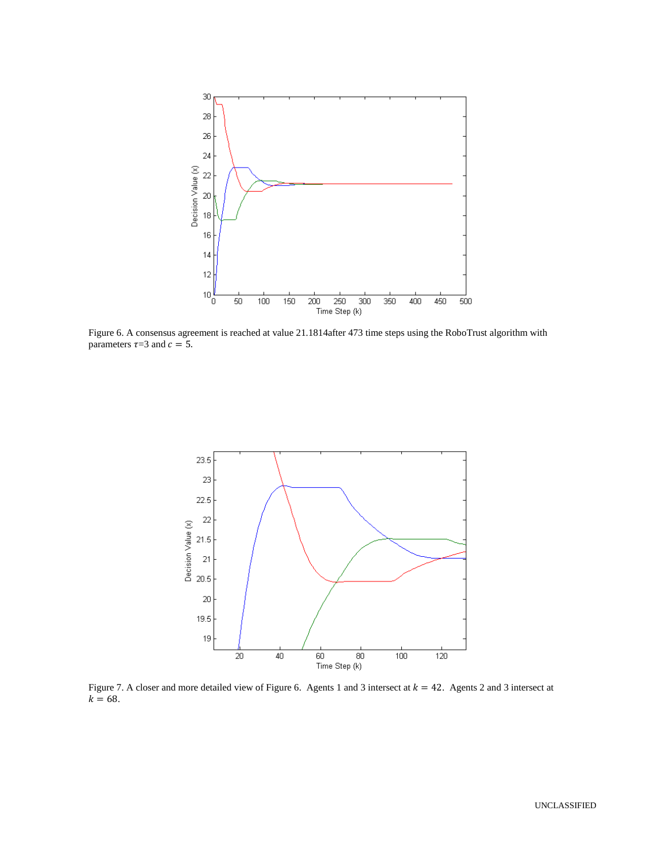

Figure 6. A consensus agreement is reached at value 21.1814after 473 time steps using the RoboTrust algorithm with parameters  $\tau = 3$  and  $c = 5$ .



Figure 7. A closer and more detailed view of Figure 6. Agents 1 and 3 intersect at  $k = 42$ . Agents 2 and 3 intersect at  $k = 68$ .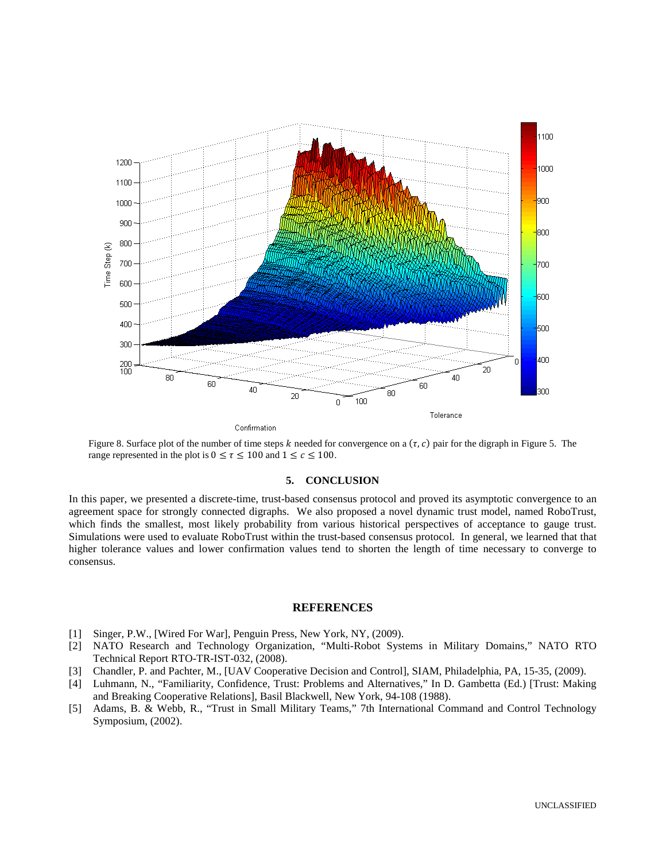

Figure 8. Surface plot of the number of time steps k needed for convergence on a  $(\tau, c)$  pair for the digraph in Figure 5. The range represented in the plot is  $0 \le \tau \le 100$  and  $1 \le c \le 100$ .

## **5. CONCLUSION**

In this paper, we presented a discrete-time, trust-based consensus protocol and proved its asymptotic convergence to an agreement space for strongly connected digraphs. We also proposed a novel dynamic trust model, named RoboTrust, which finds the smallest, most likely probability from various historical perspectives of acceptance to gauge trust. Simulations were used to evaluate RoboTrust within the trust-based consensus protocol. In general, we learned that that higher tolerance values and lower confirmation values tend to shorten the length of time necessary to converge to consensus.

#### **REFERENCES**

- [1] Singer, P.W., [Wired For War], Penguin Press, New York, NY, (2009).
- [2] NATO Research and Technology Organization, "Multi-Robot Systems in Military Domains," NATO RTO Technical Report RTO-TR-IST-032, (2008).
- [3] Chandler, P. and Pachter, M., [UAV Cooperative Decision and Control], SIAM, Philadelphia, PA, 15-35, (2009).
- [4] Luhmann, N., "Familiarity, Confidence, Trust: Problems and Alternatives," In D. Gambetta (Ed.) [Trust: Making and Breaking Cooperative Relations], Basil Blackwell, New York, 94-108 (1988).
- [5] Adams, B. & Webb, R., "Trust in Small Military Teams," 7th International Command and Control Technology Symposium, (2002).